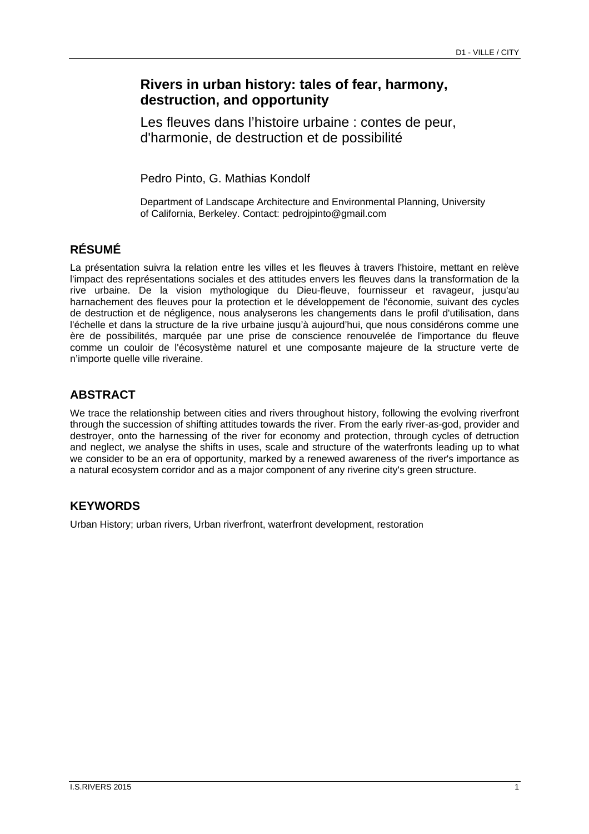# **Rivers in urban history: tales of fear, harmony, destruction, and opportunity**

Les fleuves dans l'histoire urbaine : contes de peur, d'harmonie, de destruction et de possibilité

Pedro Pinto, G. Mathias Kondolf

Department of Landscape Architecture and Environmental Planning, University of California, Berkeley. Contact: pedrojpinto@gmail.com

## **RÉSUMÉ**

La présentation suivra la relation entre les villes et les fleuves à travers l'histoire, mettant en relève l'impact des représentations sociales et des attitudes envers les fleuves dans la transformation de la rive urbaine. De la vision mythologique du Dieu-fleuve, fournisseur et ravageur, jusqu'au harnachement des fleuves pour la protection et le développement de l'économie, suivant des cycles de destruction et de négligence, nous analyserons les changements dans le profil d'utilisation, dans l'échelle et dans la structure de la rive urbaine jusqu'à aujourd'hui, que nous considérons comme une ère de possibilités, marquée par une prise de conscience renouvelée de l'importance du fleuve comme un couloir de l'écosystème naturel et une composante majeure de la structure verte de n'importe quelle ville riveraine.

## **ABSTRACT**

We trace the relationship between cities and rivers throughout history, following the evolving riverfront through the succession of shifting attitudes towards the river. From the early river-as-god, provider and destroyer, onto the harnessing of the river for economy and protection, through cycles of detruction and neglect, we analyse the shifts in uses, scale and structure of the waterfronts leading up to what we consider to be an era of opportunity, marked by a renewed awareness of the river's importance as a natural ecosystem corridor and as a major component of any riverine city's green structure.

# **KEYWORDS**

Urban History; urban rivers, Urban riverfront, waterfront development, restoration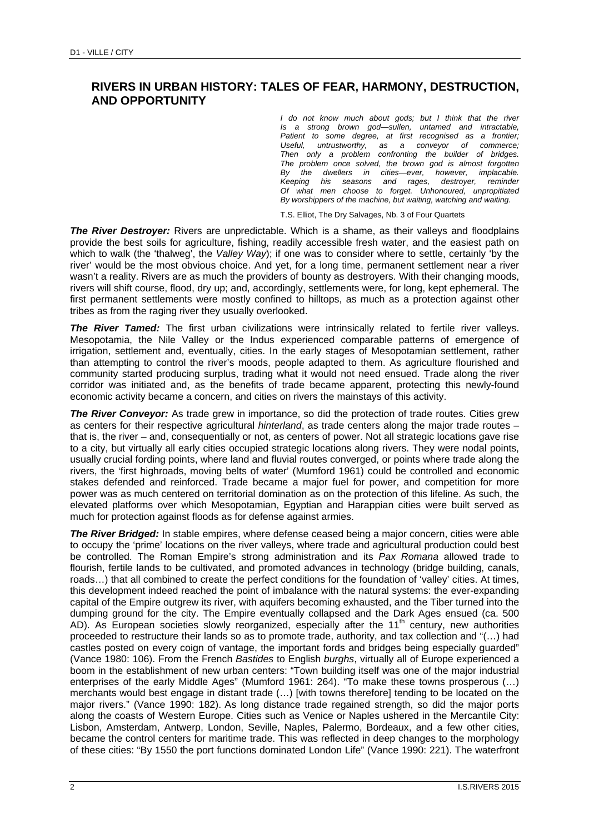#### **RIVERS IN URBAN HISTORY: TALES OF FEAR, HARMONY, DESTRUCTION, AND OPPORTUNITY**

*I do not know much about gods; but I think that the river Is a strong brown god—sullen, untamed and intractable, Patient to some degree, at first recognised as a frontier; Useful, untrustworthy, as a conveyor of commerce; Then only a problem confronting the builder of bridges. The problem once solved, the brown god is almost forgotten By the dwellers in cities—ever, however, implacable. Keeping his seasons and rages, destroyer, reminder Of what men choose to forget. Unhonoured, unpropitiated By worshippers of the machine, but waiting, watching and waiting.* 

T.S. Elliot, The Dry Salvages, Nb. 3 of Four Quartets

*The River Destroyer:* Rivers are unpredictable. Which is a shame, as their valleys and floodplains provide the best soils for agriculture, fishing, readily accessible fresh water, and the easiest path on which to walk (the 'thalweg', the *Valley Way*); if one was to consider where to settle, certainly 'by the river' would be the most obvious choice. And yet, for a long time, permanent settlement near a river wasn't a reality. Rivers are as much the providers of bounty as destroyers. With their changing moods, rivers will shift course, flood, dry up; and, accordingly, settlements were, for long, kept ephemeral. The first permanent settlements were mostly confined to hilltops, as much as a protection against other tribes as from the raging river they usually overlooked.

**The River Tamed:** The first urban civilizations were intrinsically related to fertile river valleys. Mesopotamia, the Nile Valley or the Indus experienced comparable patterns of emergence of irrigation, settlement and, eventually, cities. In the early stages of Mesopotamian settlement, rather than attempting to control the river's moods, people adapted to them. As agriculture flourished and community started producing surplus, trading what it would not need ensued. Trade along the river corridor was initiated and, as the benefits of trade became apparent, protecting this newly-found economic activity became a concern, and cities on rivers the mainstays of this activity.

*The River Conveyor:* As trade grew in importance, so did the protection of trade routes. Cities grew as centers for their respective agricultural *hinterland*, as trade centers along the major trade routes – that is, the river – and, consequentially or not, as centers of power. Not all strategic locations gave rise to a city, but virtually all early cities occupied strategic locations along rivers. They were nodal points, usually crucial fording points, where land and fluvial routes converged, or points where trade along the rivers, the 'first highroads, moving belts of water' (Mumford 1961) could be controlled and economic stakes defended and reinforced. Trade became a major fuel for power, and competition for more power was as much centered on territorial domination as on the protection of this lifeline. As such, the elevated platforms over which Mesopotamian, Egyptian and Harappian cities were built served as much for protection against floods as for defense against armies.

*The River Bridged:* In stable empires, where defense ceased being a major concern, cities were able to occupy the 'prime' locations on the river valleys, where trade and agricultural production could best be controlled. The Roman Empire's strong administration and its *Pax Romana* allowed trade to flourish, fertile lands to be cultivated, and promoted advances in technology (bridge building, canals, roads…) that all combined to create the perfect conditions for the foundation of 'valley' cities. At times, this development indeed reached the point of imbalance with the natural systems: the ever-expanding capital of the Empire outgrew its river, with aquifers becoming exhausted, and the Tiber turned into the dumping ground for the city. The Empire eventually collapsed and the Dark Ages ensued (ca. 500 AD). As European societies slowly reorganized, especially after the 11<sup>th</sup> century, new authorities proceeded to restructure their lands so as to promote trade, authority, and tax collection and "(…) had castles posted on every coign of vantage, the important fords and bridges being especially guarded" (Vance 1980: 106). From the French *Bastides* to English *burghs*, virtually all of Europe experienced a boom in the establishment of new urban centers: "Town building itself was one of the major industrial enterprises of the early Middle Ages" (Mumford 1961: 264). "To make these towns prosperous (…) merchants would best engage in distant trade (…) [with towns therefore] tending to be located on the major rivers." (Vance 1990: 182). As long distance trade regained strength, so did the major ports along the coasts of Western Europe. Cities such as Venice or Naples ushered in the Mercantile City: Lisbon, Amsterdam, Antwerp, London, Seville, Naples, Palermo, Bordeaux, and a few other cities, became the control centers for maritime trade. This was reflected in deep changes to the morphology of these cities: "By 1550 the port functions dominated London Life" (Vance 1990: 221). The waterfront